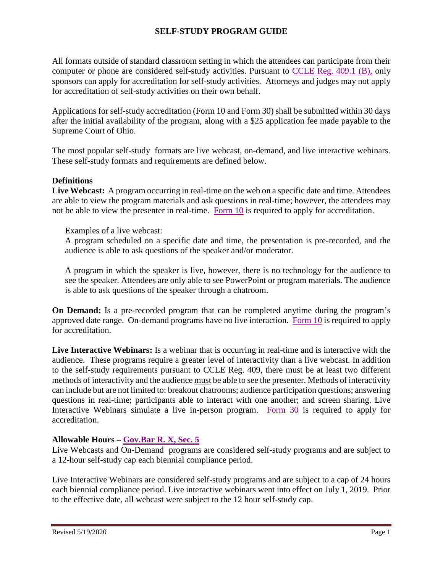## **SELF-STUDY PROGRAM GUIDE**

All formats outside of standard classroom setting in which the attendees can participate from their computer or phone are considered self-study activities. Pursuant to [CCLE Reg. 409.1 \(B\),](http://www.supremecourt.ohio.gov/LegalResources/Rules/govbar/govbar.pdf#App1) only sponsors can apply for accreditation for self-study activities. Attorneys and judges may not apply for accreditation of self-study activities on their own behalf.

Applications for self-study accreditation (Form 10 and Form 30) shall be submitted within 30 days after the initial availability of the program, along with a \$25 application fee made payable to the Supreme Court of Ohio.

The most popular self-study formats are live webcast, on-demand, and live interactive webinars. These self-study formats and requirements are defined below.

#### **Definitions**

Live Webcast: A program occurring in real-time on the web on a specific date and time. Attendees are able to view the program materials and ask questions in real-time; however, the attendees may not be able to view the presenter in real-time. [Form 10](http://www.supremecourt.ohio.gov/AttySvcs/CLE/forms/Form10.pdf) is required to apply for accreditation.

Examples of a live webcast:

A program scheduled on a specific date and time, the presentation is pre-recorded, and the audience is able to ask questions of the speaker and/or moderator.

A program in which the speaker is live, however, there is no technology for the audience to see the speaker. Attendees are only able to see PowerPoint or program materials. The audience is able to ask questions of the speaker through a chatroom.

**On Demand:** Is a pre-recorded program that can be completed anytime during the program's approved date range. On-demand programs have no live interaction. [Form 10](http://www.supremecourt.ohio.gov/AttySvcs/CLE/forms/Form10.pdf) is required to apply for accreditation.

**Live Interactive Webinars:** Is a webinar that is occurring in real-time and is interactive with the audience. These programs require a greater level of interactivity than a live webcast. In addition to the self-study requirements pursuant to CCLE Reg. 409, there must be at least two different methods of interactivity and the audience must be able to see the presenter. Methods of interactivity can include but are not limited to: breakout chatrooms; audience participation questions; answering questions in real-time; participants able to interact with one another; and screen sharing. Live Interactive Webinars simulate a live in-person program. [Form 30](http://www.supremecourt.ohio.gov/AttySvcs/CLE/forms/Form30.pdf) is required to apply for accreditation.

## **Allowable Hours – [Gov.Bar R. X, Sec. 5](http://www.supremecourt.ohio.gov/LegalResources/Rules/govbar/govbar.pdf#Rule10)**

Live Webcasts and On-Demand programs are considered self-study programs and are subject to a 12-hour self-study cap each biennial compliance period.

Live Interactive Webinars are considered self-study programs and are subject to a cap of 24 hours each biennial compliance period. Live interactive webinars went into effect on July 1, 2019. Prior to the effective date, all webcast were subject to the 12 hour self-study cap.